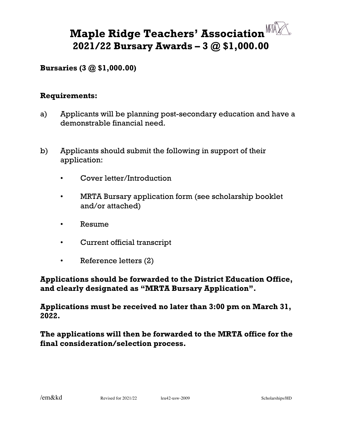## **Maple Ridge Teachers' Association 2021/22 Bursary Awards – 3 @ \$1,000.00**

## **Bursaries (3 @ \$1,000.00)**

## **Requirements:**

- a) Applicants will be planning post-secondary education and have a demonstrable financial need.
- b) Applicants should submit the following in support of their application:
	- Cover letter/Introduction
	- MRTA Bursary application form (see scholarship booklet and/or attached)
	- Resume
	- Current official transcript
	- Reference letters (2)

**Applications should be forwarded to the District Education Office, and clearly designated as "MRTA Bursary Application".** 

**Applications must be received no later than 3:00 pm on March 31, 2022.**

**The applications will then be forwarded to the MRTA office for the final consideration/selection process.**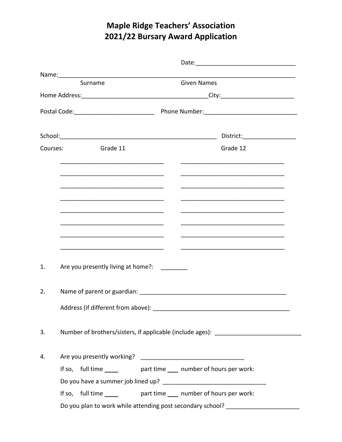## **Maple Ridge Teachers' Association** 2021/22 Bursary Award Application

| Surname                                  | <b>Given Names</b>                                                               |
|------------------------------------------|----------------------------------------------------------------------------------|
|                                          |                                                                                  |
|                                          |                                                                                  |
|                                          | District:___________________                                                     |
| <b>Sandeler 11</b><br>Courses:           | Grade 12                                                                         |
|                                          |                                                                                  |
|                                          |                                                                                  |
|                                          |                                                                                  |
|                                          |                                                                                  |
|                                          |                                                                                  |
| Are you presently living at home?:<br>1. |                                                                                  |
| 2.                                       |                                                                                  |
| Address (if different from above):       |                                                                                  |
| 3.                                       | Number of brothers/sisters, if applicable (include ages): ______________________ |
| 4.                                       |                                                                                  |
|                                          | If so, full time ______ part time ____ number of hours per work:                 |
|                                          |                                                                                  |
|                                          | If so, full time ______ part time ____ number of hours per work:                 |
|                                          | Do you plan to work while attending post secondary school? _____________________ |